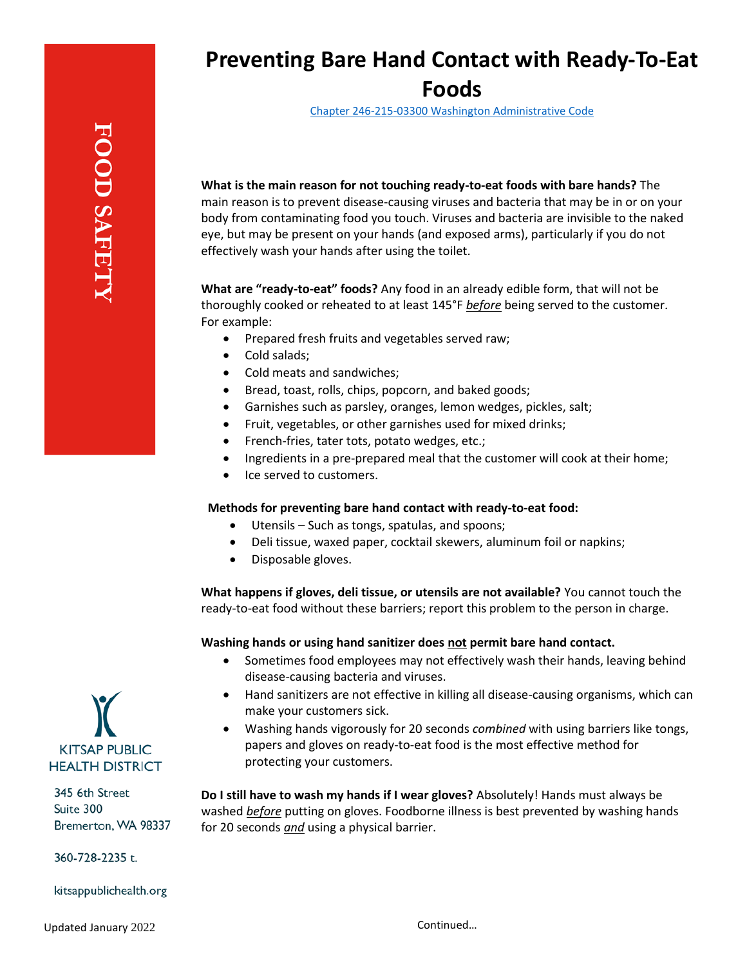## **Preventing Bare Hand Contact with Ready-To-Eat Foods**

Chapter 246-215-03300 [Washington Administrative Code](https://apps.leg.wa.gov/wac/default.aspx?cite=246-215-03300)

**What is the main reason for not touching ready-to-eat foods with bare hands?** The

main reason is to prevent disease-causing viruses and bacteria that may be in or on your body from contaminating food you touch. Viruses and bacteria are invisible to the naked eye, but may be present on your hands (and exposed arms), particularly if you do not effectively wash your hands after using the toilet.

**What are "ready-to-eat" foods?** Any food in an already edible form, that will not be thoroughly cooked or reheated to at least 145°F *before* being served to the customer. For example:

- Prepared fresh fruits and vegetables served raw;
- Cold salads;
- Cold meats and sandwiches;
- Bread, toast, rolls, chips, popcorn, and baked goods;
- Garnishes such as parsley, oranges, lemon wedges, pickles, salt;
- Fruit, vegetables, or other garnishes used for mixed drinks;
- French-fries, tater tots, potato wedges, etc.;
- Ingredients in a pre-prepared meal that the customer will cook at their home;
- Ice served to customers.

## **Methods for preventing bare hand contact with ready-to-eat food:**

- Utensils Such as tongs, spatulas, and spoons;
- Deli tissue, waxed paper, cocktail skewers, aluminum foil or napkins;
- Disposable gloves.

**What happens if gloves, deli tissue, or utensils are not available?** You cannot touch the ready-to-eat food without these barriers; report this problem to the person in charge.

## **Washing hands or using hand sanitizer does not permit bare hand contact.**

- Sometimes food employees may not effectively wash their hands, leaving behind disease-causing bacteria and viruses.
- Hand sanitizers are not effective in killing all disease-causing organisms, which can make your customers sick.
- Washing hands vigorously for 20 seconds *combined* with using barriers like tongs, papers and gloves on ready-to-eat food is the most effective method for protecting your customers.

**Do I still have to wash my hands if I wear gloves?** Absolutely! Hands must always be washed *before* putting on gloves. Foodborne illness is best prevented by washing hands for 20 seconds *and* using a physical barrier.



345 6th Street Suite 300 Bremerton, WA 98337

360-728-2235 t.

kitsappublichealth.org